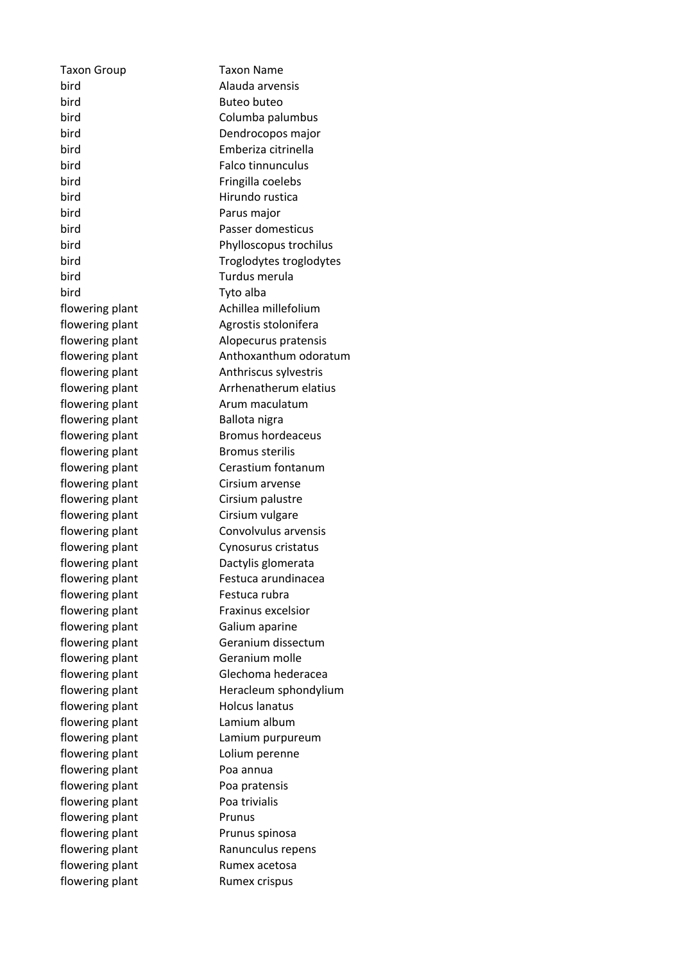Taxon Group Taxon Name bird **Alauda** arvensis bird Buteo buteo bird Columba palumbus bird Dendrocopos major bird **Emberiza** citrinella bird **Falco** tinnunculus bird **Fringilla** coelebs bird Hirundo rustica bird **Parus** major bird **Passer domesticus** bird Phylloscopus trochilus bird **Troglodytes** troglodytes bird **Turdus** merula bird **Tyto** alba flowering plant **Achillea** millefolium flowering plant and algrostis stolonifera flowering plant and Alopecurus pratensis flowering plant and anthoxanthum odoratum flowering plant anti-Anthriscus sylvestris flowering plant **Arrhenatherum** elatius flowering plant and arum maculatum flowering plant Ballota nigra flowering plant Bromus hordeaceus flowering plant Bromus sterilis flowering plant Cerastium fontanum flowering plant Cirsium arvense flowering plant Cirsium palustre flowering plant Cirsium vulgare flowering plant Convolvulus arvensis flowering plant Cynosurus cristatus flowering plant Dactylis glomerata flowering plant Festuca arundinacea flowering plant Festuca rubra flowering plant Fraxinus excelsior flowering plant Galium aparine flowering plant Geranium dissectum flowering plant Geranium molle flowering plant Glechoma hederacea flowering plant Heracleum sphondylium flowering plant Holcus lanatus flowering plant bum Lamium album flowering plant Lamium purpureum flowering plant button and Lolium perenne flowering plant Poa annua flowering plant Poa pratensis flowering plant Poa trivialis flowering plant Frunus flowering plant Prunus spinosa flowering plant Ranunculus repens flowering plant Rumex acetosa flowering plant Rumex crispus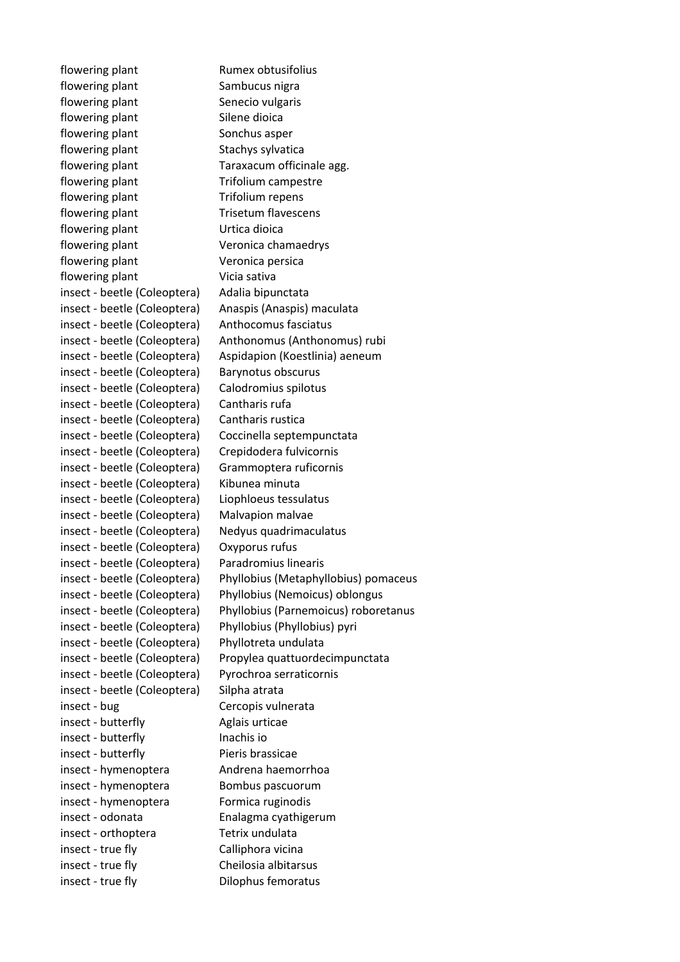flowering plant Rumex obtusifolius flowering plant Sambucus nigra flowering plant Senecio vulgaris flowering plant Silene dioica flowering plant Sonchus asper flowering plant Stachys sylvatica flowering plant Taraxacum officinale agg. flowering plant Trifolium campestre flowering plant Trifolium repens flowering plant Trisetum flavescens flowering plant Urtica dioica flowering plant Veronica chamaedrys flowering plant Veronica persica flowering plant Vicia sativa insect - beetle (Coleoptera) Adalia bipunctata insect - beetle (Coleoptera) Anaspis (Anaspis) maculata insect - beetle (Coleoptera) Anthocomus fasciatus insect - beetle (Coleoptera) Anthonomus (Anthonomus) rubi insect - beetle (Coleoptera) Aspidapion (Koestlinia) aeneum insect - beetle (Coleoptera) Barynotus obscurus insect - beetle (Coleoptera) Calodromius spilotus insect - beetle (Coleoptera) Cantharis rufa insect - beetle (Coleoptera) Cantharis rustica insect - beetle (Coleoptera) Coccinella septempunctata insect - beetle (Coleoptera) Crepidodera fulvicornis insect - beetle (Coleoptera) Grammoptera ruficornis insect - beetle (Coleoptera) Kibunea minuta insect - beetle (Coleoptera) Liophloeus tessulatus insect - beetle (Coleoptera) Malvapion malvae insect - beetle (Coleoptera) Nedyus quadrimaculatus insect - beetle (Coleoptera) Oxyporus rufus insect - beetle (Coleoptera) Paradromius linearis insect - beetle (Coleoptera) Phyllobius (Metaphyllobius) pomaceus insect - beetle (Coleoptera) Phyllobius (Nemoicus) oblongus insect - beetle (Coleoptera) Phyllobius (Parnemoicus) roboretanus insect - beetle (Coleoptera) Phyllobius (Phyllobius) pyri insect - beetle (Coleoptera) Phyllotreta undulata insect - beetle (Coleoptera) Propylea quattuordecimpunctata insect - beetle (Coleoptera) Pyrochroa serraticornis insect - beetle (Coleoptera) Silpha atrata insect - bug Cercopis vulnerata insect - butterfly Aglais urticae insect - butterfly lnachis io insect - butterfly Pieris brassicae insect - hymenoptera Andrena haemorrhoa insect - hymenoptera Bombus pascuorum insect - hymenoptera Formica ruginodis insect - odonata **Enalagma** cyathigerum insect - orthoptera Tetrix undulata insect - true fly Calliphora vicina insect - true fly **Cheilosia** albitarsus insect - true fly **Dilophus** femoratus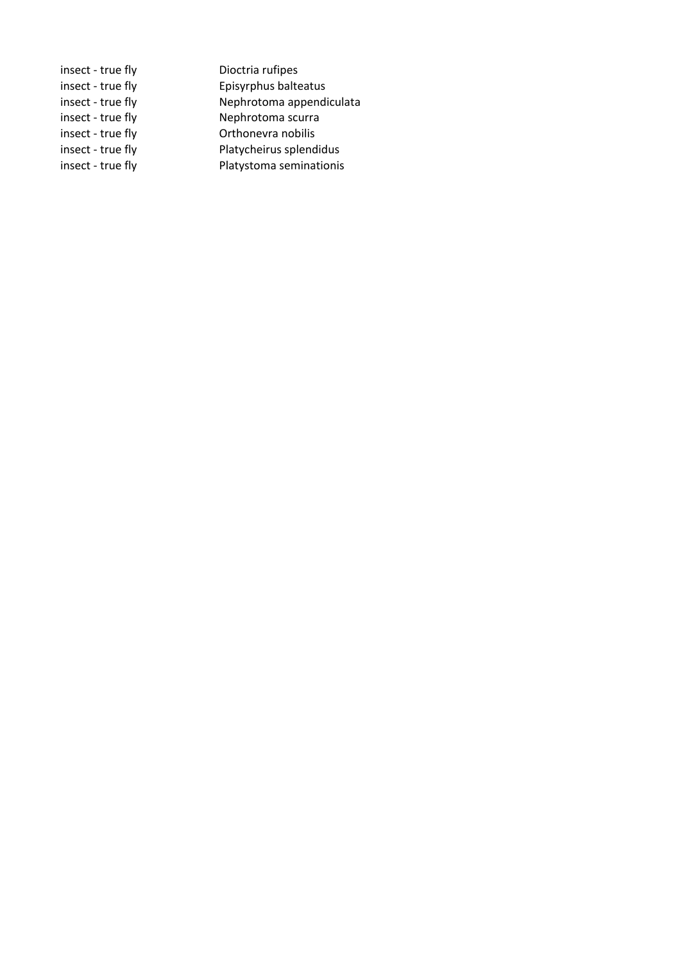| insect - true fly | Dioctria rufipes         |
|-------------------|--------------------------|
| insect - true fly | Episyrphus balteatus     |
| insect - true fly | Nephrotoma appendiculata |
| insect - true fly | Nephrotoma scurra        |
| insect - true fly | Orthonevra nobilis       |
| insect - true fly | Platycheirus splendidus  |
| insect - true fly | Platystoma seminationis  |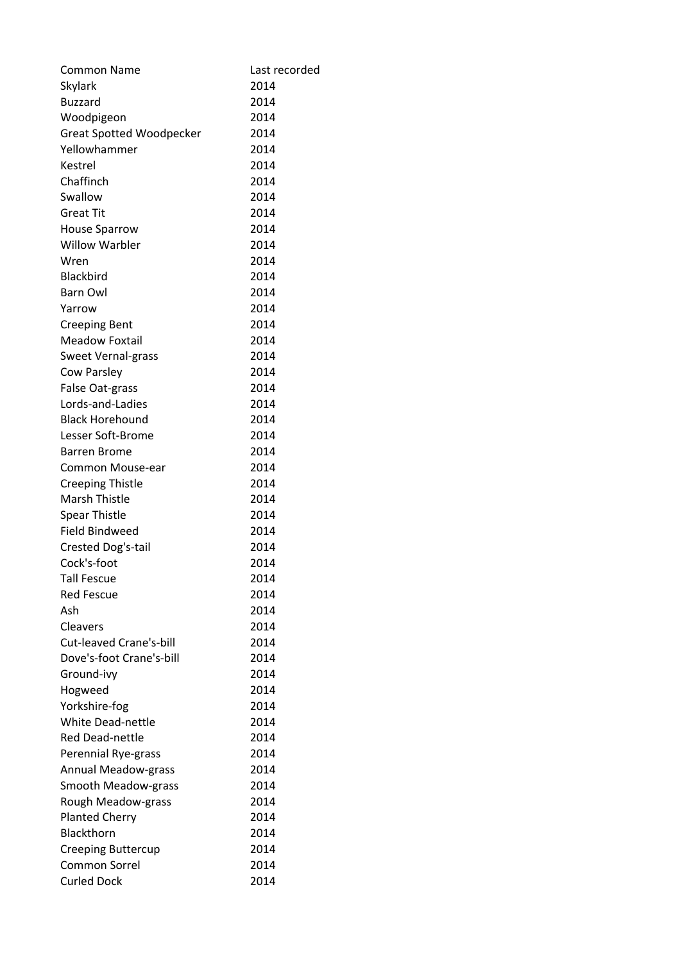| Common Name                     | Last recorded |
|---------------------------------|---------------|
| Skylark                         | 2014          |
| <b>Buzzard</b>                  | 2014          |
| Woodpigeon                      | 2014          |
| <b>Great Spotted Woodpecker</b> | 2014          |
| Yellowhammer                    | 2014          |
| Kestrel                         | 2014          |
| Chaffinch                       | 2014          |
| Swallow                         | 2014          |
| <b>Great Tit</b>                | 2014          |
| <b>House Sparrow</b>            | 2014          |
| <b>Willow Warbler</b>           | 2014          |
| Wren                            | 2014          |
| Blackbird                       | 2014          |
| <b>Barn Owl</b>                 | 2014          |
| Yarrow                          | 2014          |
| <b>Creeping Bent</b>            | 2014          |
| <b>Meadow Foxtail</b>           | 2014          |
| <b>Sweet Vernal-grass</b>       | 2014          |
| Cow Parsley                     | 2014          |
| False Oat-grass                 | 2014          |
| Lords-and-Ladies                | 2014          |
| <b>Black Horehound</b>          | 2014          |
| Lesser Soft-Brome               | 2014          |
| <b>Barren Brome</b>             | 2014          |
| Common Mouse-ear                | 2014          |
| <b>Creeping Thistle</b>         | 2014          |
| <b>Marsh Thistle</b>            | 2014          |
| <b>Spear Thistle</b>            | 2014          |
| <b>Field Bindweed</b>           | 2014          |
| Crested Dog's-tail              | 2014          |
| Cock's-foot                     | 2014          |
| Tall Fescue                     | 2014          |
| <b>Red Fescue</b>               | 2014          |
| Ash                             | 2014          |
| Cleavers                        | 2014          |
| <b>Cut-leaved Crane's-bill</b>  | 2014          |
| Dove's-foot Crane's-bill        | 2014          |
| Ground-ivy                      | 2014          |
| Hogweed                         | 2014          |
| Yorkshire-fog                   | 2014          |
| <b>White Dead-nettle</b>        | 2014          |
| <b>Red Dead-nettle</b>          | 2014          |
| Perennial Rye-grass             | 2014          |
| <b>Annual Meadow-grass</b>      | 2014          |
| Smooth Meadow-grass             | 2014          |
| Rough Meadow-grass              | 2014          |
| <b>Planted Cherry</b>           | 2014          |
| Blackthorn                      | 2014          |
| <b>Creeping Buttercup</b>       | 2014          |
| <b>Common Sorrel</b>            | 2014          |
| <b>Curled Dock</b>              | 2014          |
|                                 |               |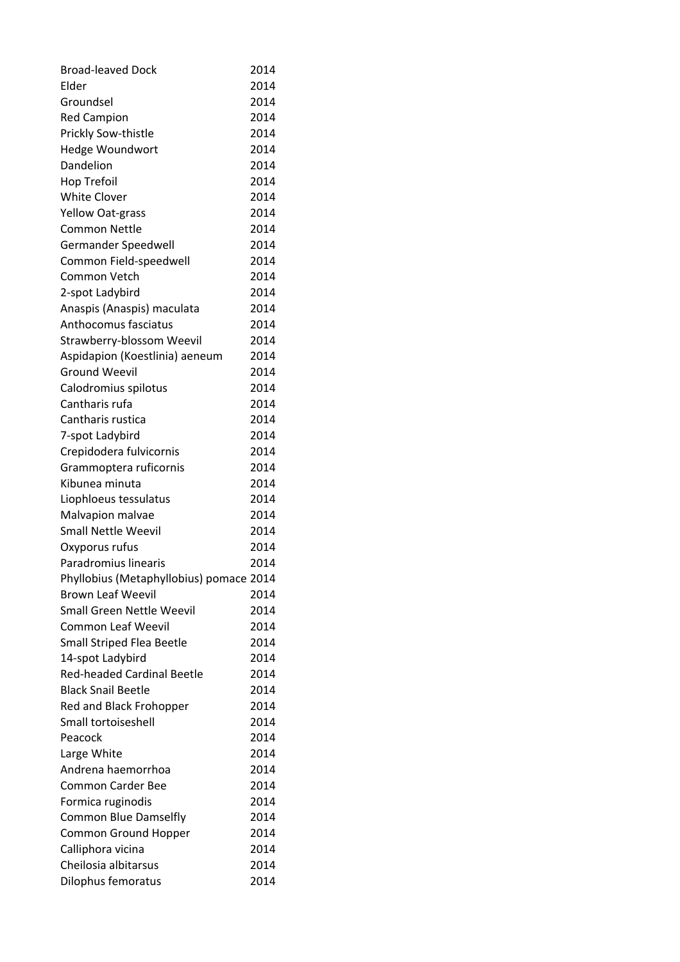| <b>Broad-leaved Dock</b>                | 2014 |
|-----------------------------------------|------|
| Elder                                   | 2014 |
| Groundsel                               | 2014 |
| <b>Red Campion</b>                      | 2014 |
| Prickly Sow-thistle                     | 2014 |
| Hedge Woundwort                         | 2014 |
| Dandelion                               | 2014 |
| Hop Trefoil                             | 2014 |
| <b>White Clover</b>                     | 2014 |
| <b>Yellow Oat-grass</b>                 | 2014 |
| Common Nettle                           | 2014 |
| Germander Speedwell                     | 2014 |
| Common Field-speedwell                  | 2014 |
| Common Vetch                            | 2014 |
| 2-spot Ladybird                         | 2014 |
| Anaspis (Anaspis) maculata              | 2014 |
| Anthocomus fasciatus                    | 2014 |
| <b>Strawberry-blossom Weevil</b>        | 2014 |
| Aspidapion (Koestlinia) aeneum          | 2014 |
| <b>Ground Weevil</b>                    | 2014 |
| Calodromius spilotus                    | 2014 |
| Cantharis rufa                          | 2014 |
| Cantharis rustica                       | 2014 |
| 7-spot Ladybird                         | 2014 |
| Crepidodera fulvicornis                 | 2014 |
| Grammoptera ruficornis                  | 2014 |
| Kibunea minuta                          | 2014 |
| Liophloeus tessulatus                   | 2014 |
| Malvapion malvae                        | 2014 |
| <b>Small Nettle Weevil</b>              | 2014 |
| Oxyporus rufus                          | 2014 |
| Paradromius linearis                    | 2014 |
| Phyllobius (Metaphyllobius) pomace 2014 |      |
| <b>Brown Leaf Weevil</b>                | 2014 |
| <b>Small Green Nettle Weevil</b>        | 2014 |
| <b>Common Leaf Weevil</b>               | 2014 |
| <b>Small Striped Flea Beetle</b>        | 2014 |
| 14-spot Ladybird                        | 2014 |
| <b>Red-headed Cardinal Beetle</b>       | 2014 |
| <b>Black Snail Beetle</b>               | 2014 |
| Red and Black Frohopper                 | 2014 |
| Small tortoiseshell                     | 2014 |
| Peacock                                 | 2014 |
| Large White                             | 2014 |
| Andrena haemorrhoa                      | 2014 |
| <b>Common Carder Bee</b>                | 2014 |
| Formica ruginodis                       | 2014 |
| Common Blue Damselfly                   | 2014 |
| <b>Common Ground Hopper</b>             | 2014 |
| Calliphora vicina                       | 2014 |
| Cheilosia albitarsus                    | 2014 |
| Dilophus femoratus                      | 2014 |
|                                         |      |